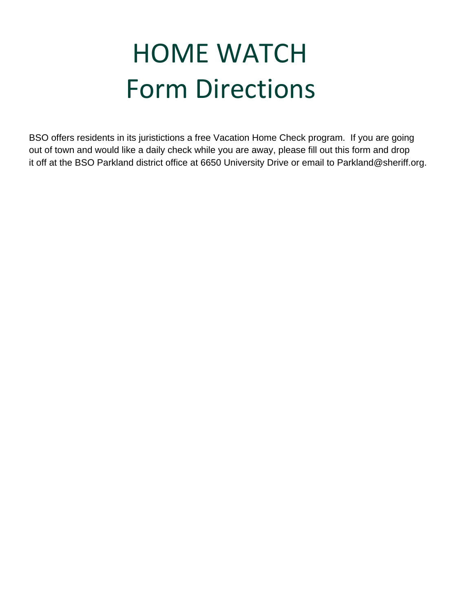## **HOME WATCH Form Directions**

BSO offers residents in its juristictions a free Vacation Home Check program. If you are going out of town and would like a daily check while you are away, please fill out this form and drop it off at the BSO Parkland district office at 6650 University Drive or email to Parkland@sheriff.org.